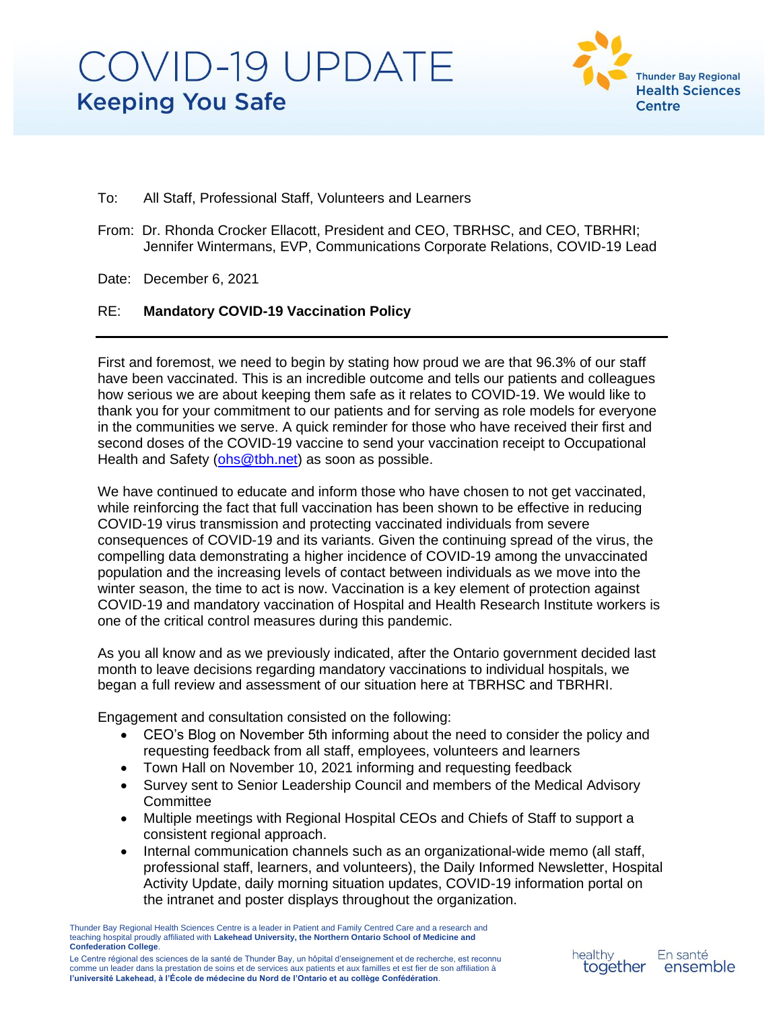

- To: All Staff, Professional Staff, Volunteers and Learners
- From: Dr. Rhonda Crocker Ellacott, President and CEO, TBRHSC, and CEO, TBRHRI; Jennifer Wintermans, EVP, Communications Corporate Relations, COVID-19 Lead

Date: December 6, 2021

#### RE: **Mandatory COVID-19 Vaccination Policy**

First and foremost, we need to begin by stating how proud we are that 96.3% of our staff have been vaccinated. This is an incredible outcome and tells our patients and colleagues how serious we are about keeping them safe as it relates to COVID-19. We would like to thank you for your commitment to our patients and for serving as role models for everyone in the communities we serve. A quick reminder for those who have received their first and second doses of the COVID-19 vaccine to send your vaccination receipt to Occupational Health and Safety [\(ohs@tbh.net\)](mailto:ohs@tbh.net) as soon as possible.

We have continued to educate and inform those who have chosen to not get vaccinated, while reinforcing the fact that full vaccination has been shown to be effective in reducing COVID-19 virus transmission and protecting vaccinated individuals from severe consequences of COVID-19 and its variants. Given the continuing spread of the virus, the compelling data demonstrating a higher incidence of COVID-19 among the unvaccinated population and the increasing levels of contact between individuals as we move into the winter season, the time to act is now. Vaccination is a key element of protection against COVID-19 and mandatory vaccination of Hospital and Health Research Institute workers is one of the critical control measures during this pandemic.

As you all know and as we previously indicated, after the Ontario government decided last month to leave decisions regarding mandatory vaccinations to individual hospitals, we began a full review and assessment of our situation here at TBRHSC and TBRHRI.

Engagement and consultation consisted on the following:

- CEO's Blog on November 5th informing about the need to consider the policy and requesting feedback from all staff, employees, volunteers and learners
- Town Hall on November 10, 2021 informing and requesting feedback
- Survey sent to Senior Leadership Council and members of the Medical Advisory **Committee**
- Multiple meetings with Regional Hospital CEOs and Chiefs of Staff to support a consistent regional approach.
- Internal communication channels such as an organizational-wide memo (all staff, professional staff, learners, and volunteers), the Daily Informed Newsletter, Hospital Activity Update, daily morning situation updates, COVID-19 information portal on the intranet and poster displays throughout the organization.

Thunder Bay Regional Health Sciences Centre is a leader in Patient and Family Centred Care and a research and teaching hospital proudly affiliated with **Lakehead University, the Northern Ontario School of Medicine and Confederation College**.

Le Centre régional des sciences de la santé de Thunder Bay, un hôpital d'enseignement et de recherche, est reconnu comme un leader dans la prestation de soins et de services aux patients et aux familles et est fier de son affiliation à **l'université Lakehead, à l'École de médecine du Nord de l'Ontario et au collège Confédération**.

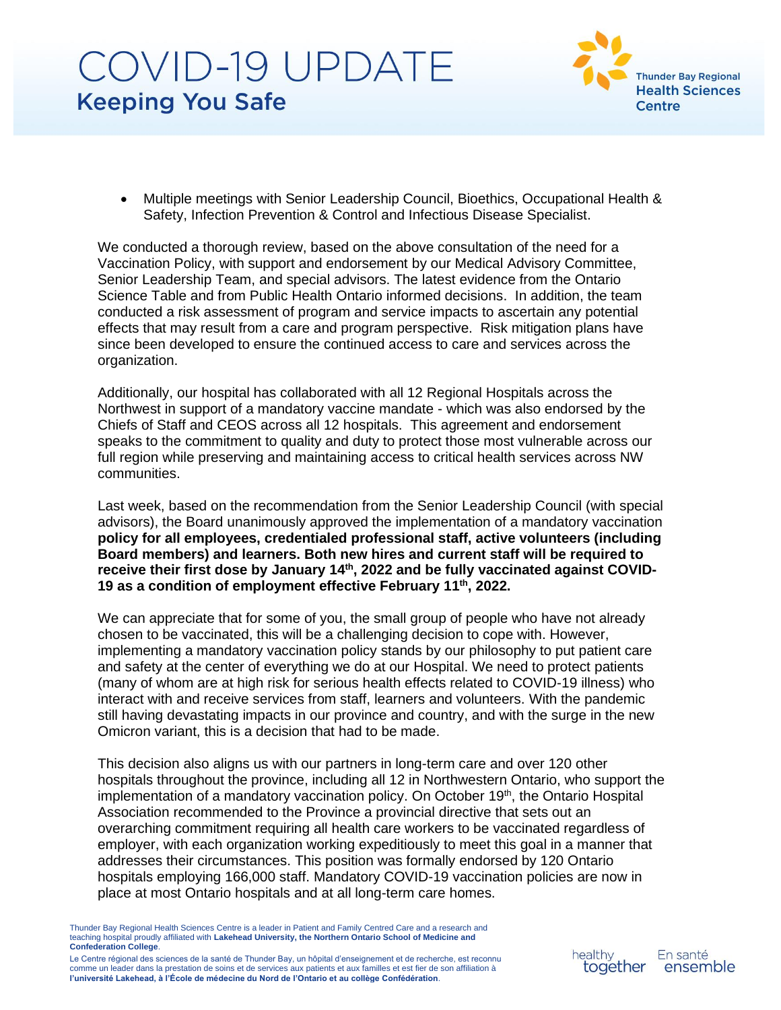

• Multiple meetings with Senior Leadership Council, Bioethics, Occupational Health & Safety, Infection Prevention & Control and Infectious Disease Specialist.

We conducted a thorough review, based on the above consultation of the need for a Vaccination Policy, with support and endorsement by our Medical Advisory Committee, Senior Leadership Team, and special advisors. The latest evidence from the Ontario Science Table and from Public Health Ontario informed decisions. In addition, the team conducted a risk assessment of program and service impacts to ascertain any potential effects that may result from a care and program perspective. Risk mitigation plans have since been developed to ensure the continued access to care and services across the organization.

Additionally, our hospital has collaborated with all 12 Regional Hospitals across the Northwest in support of a mandatory vaccine mandate - which was also endorsed by the Chiefs of Staff and CEOS across all 12 hospitals. This agreement and endorsement speaks to the commitment to quality and duty to protect those most vulnerable across our full region while preserving and maintaining access to critical health services across NW communities.

Last week, based on the recommendation from the Senior Leadership Council (with special advisors), the Board unanimously approved the implementation of a mandatory vaccination **policy for all employees, credentialed professional staff, active volunteers (including Board members) and learners. Both new hires and current staff will be required to receive their first dose by January 14th, 2022 and be fully vaccinated against COVID-**19 as a condition of employment effective February 11<sup>th</sup>, 2022.

We can appreciate that for some of you, the small group of people who have not already chosen to be vaccinated, this will be a challenging decision to cope with. However, implementing a mandatory vaccination policy stands by our philosophy to put patient care and safety at the center of everything we do at our Hospital. We need to protect patients (many of whom are at high risk for serious health effects related to COVID-19 illness) who interact with and receive services from staff, learners and volunteers. With the pandemic still having devastating impacts in our province and country, and with the surge in the new Omicron variant, this is a decision that had to be made.

This decision also aligns us with our partners in long-term care and over 120 other hospitals throughout the province, including all 12 in Northwestern Ontario, who support the implementation of a mandatory vaccination policy. On October 19<sup>th</sup>, the Ontario Hospital Association recommended to the Province a provincial directive that sets out an overarching commitment requiring all health care workers to be vaccinated regardless of employer, with each organization working expeditiously to meet this goal in a manner that addresses their circumstances. This position was formally endorsed by 120 Ontario hospitals employing 166,000 staff. Mandatory COVID-19 vaccination policies are now in place at most Ontario hospitals and at all long-term care homes.

Thunder Bay Regional Health Sciences Centre is a leader in Patient and Family Centred Care and a research and teaching hospital proudly affiliated with **Lakehead University, the Northern Ontario School of Medicine and Confederation College**.

Le Centre régional des sciences de la santé de Thunder Bay, un hôpital d'enseignement et de recherche, est reconnu comme un leader dans la prestation de soins et de services aux patients et aux familles et est fier de son affiliation à **l'université Lakehead, à l'École de médecine du Nord de l'Ontario et au collège Confédération**.



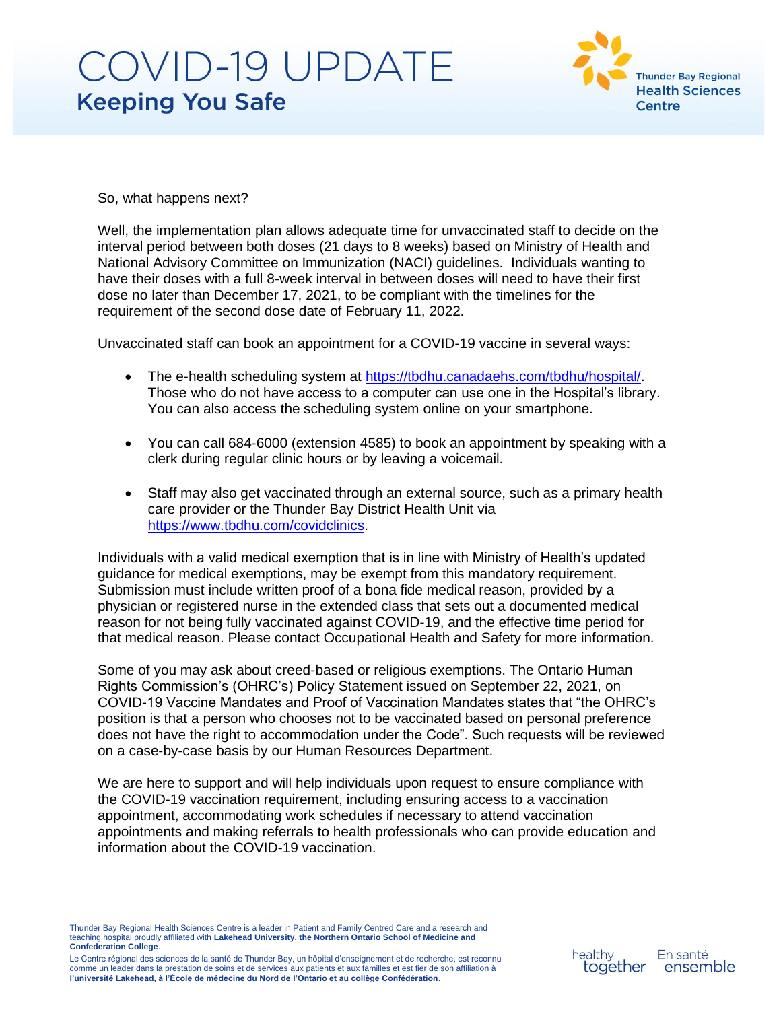

So, what happens next?

Well, the implementation plan allows adequate time for unvaccinated staff to decide on the interval period between both doses (21 days to 8 weeks) based on Ministry of Health and National Advisory Committee on Immunization (NACI) guidelines. Individuals wanting to have their doses with a full 8-week interval in between doses will need to have their first dose no later than December 17, 2021, to be compliant with the timelines for the requirement of the second dose date of February 11, 2022.

Unvaccinated staff can book an appointment for a COVID-19 vaccine in several ways:

- The e-health scheduling system at [https://tbdhu.canadaehs.com/tbdhu/hospital/.](https://tbdhu.canadaehs.com/tbdhu/hospital/) Those who do not have access to a computer can use one in the Hospital's library. You can also access the scheduling system online on your smartphone.
- You can call 684-6000 (extension 4585) to book an appointment by speaking with a clerk during regular clinic hours or by leaving a voicemail.
- Staff may also get vaccinated through an external source, such as a primary health care provider or the Thunder Bay District Health Unit via [https://www.tbdhu.com/covidclinics.](https://www.tbdhu.com/covidclinics)

Individuals with a valid medical exemption that is in line with Ministry of Health's updated guidance for medical exemptions, may be exempt from this mandatory requirement. Submission must include written proof of a bona fide medical reason, provided by a physician or registered nurse in the extended class that sets out a documented medical reason for not being fully vaccinated against COVID-19, and the effective time period for that medical reason. Please contact Occupational Health and Safety for more information.

Some of you may ask about creed-based or religious exemptions. The Ontario Human Rights Commission's (OHRC's) Policy Statement issued on September 22, 2021, on COVID-19 Vaccine Mandates and Proof of Vaccination Mandates states that "the OHRC's position is that a person who chooses not to be vaccinated based on personal preference does not have the right to accommodation under the Code". Such requests will be reviewed on a case-by-case basis by our Human Resources Department.

We are here to support and will help individuals upon request to ensure compliance with the COVID-19 vaccination requirement, including ensuring access to a vaccination appointment, accommodating work schedules if necessary to attend vaccination appointments and making referrals to health professionals who can provide education and information about the COVID-19 vaccination.

Thunder Bay Regional Health Sciences Centre is a leader in Patient and Family Centred Care and a research and teaching hospital proudly affiliated with **Lakehead University, the Northern Ontario School of Medicine and Confederation College**.

Le Centre régional des sciences de la santé de Thunder Bay, un hôpital d'enseignement et de recherche, est reconnu comme un leader dans la prestation de soins et de services aux patients et aux familles et est fier de son affiliation à **l'université Lakehead, à l'École de médecine du Nord de l'Ontario et au collège Confédération**.

healthy together

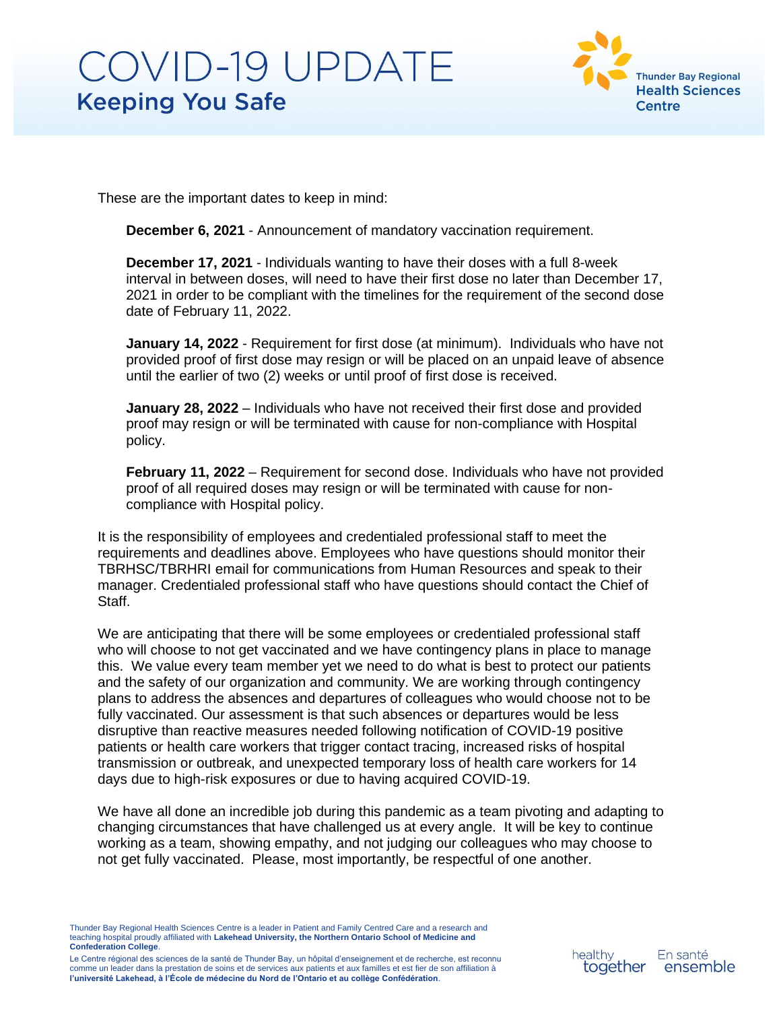

These are the important dates to keep in mind:

**December 6, 2021** - Announcement of mandatory vaccination requirement.

**December 17, 2021** - Individuals wanting to have their doses with a full 8-week interval in between doses, will need to have their first dose no later than December 17, 2021 in order to be compliant with the timelines for the requirement of the second dose date of February 11, 2022.

**January 14, 2022** - Requirement for first dose (at minimum). Individuals who have not provided proof of first dose may resign or will be placed on an unpaid leave of absence until the earlier of two (2) weeks or until proof of first dose is received.

**January 28, 2022** – Individuals who have not received their first dose and provided proof may resign or will be terminated with cause for non-compliance with Hospital policy.

**February 11, 2022** – Requirement for second dose. Individuals who have not provided proof of all required doses may resign or will be terminated with cause for noncompliance with Hospital policy.

It is the responsibility of employees and credentialed professional staff to meet the requirements and deadlines above. Employees who have questions should monitor their TBRHSC/TBRHRI email for communications from Human Resources and speak to their manager. Credentialed professional staff who have questions should contact the Chief of Staff.

We are anticipating that there will be some employees or credentialed professional staff who will choose to not get vaccinated and we have contingency plans in place to manage this. We value every team member yet we need to do what is best to protect our patients and the safety of our organization and community. We are working through contingency plans to address the absences and departures of colleagues who would choose not to be fully vaccinated. Our assessment is that such absences or departures would be less disruptive than reactive measures needed following notification of COVID-19 positive patients or health care workers that trigger contact tracing, increased risks of hospital transmission or outbreak, and unexpected temporary loss of health care workers for 14 days due to high-risk exposures or due to having acquired COVID-19.

We have all done an incredible job during this pandemic as a team pivoting and adapting to changing circumstances that have challenged us at every angle. It will be key to continue working as a team, showing empathy, and not judging our colleagues who may choose to not get fully vaccinated. Please, most importantly, be respectful of one another.

Thunder Bay Regional Health Sciences Centre is a leader in Patient and Family Centred Care and a research and teaching hospital proudly affiliated with **Lakehead University, the Northern Ontario School of Medicine and Confederation College**.

Le Centre régional des sciences de la santé de Thunder Bay, un hôpital d'enseignement et de recherche, est reconnu comme un leader dans la prestation de soins et de services aux patients et aux familles et est fier de son affiliation à **l'université Lakehead, à l'École de médecine du Nord de l'Ontario et au collège Confédération**.

healthy together En santé ensemble